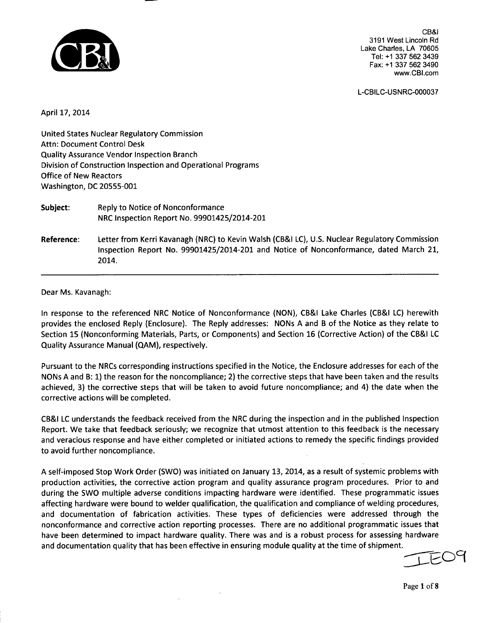

CB&I 3191 West Lincoln Rd Lake Charles, LA 70605 Tel: +1 337 562 3439 Fax: +1 337 562 3490 www.CBI.com

L-CBILC-USNRC-000037

April 17, 2014

United States Nuclear Regulatory Commission Attn: Document Control Desk Quality Assurance Vendor Inspection Branch Division of Construction Inspection and Operational Programs Office of New Reactors Washington, DC 20555-001

| Subject:   | Reply to Notice of Nonconformance<br>NRC Inspection Report No. 99901425/2014-201                                                                                                                |
|------------|-------------------------------------------------------------------------------------------------------------------------------------------------------------------------------------------------|
| Reference: | Letter from Kerri Kavanagh (NRC) to Kevin Walsh (CB&I LC), U.S. Nuclear Regulatory Commission<br>Inspection Report No. 99901425/2014-201 and Notice of Nonconformance, dated March 21,<br>2014. |

### Dear Ms. Kavanagh:

In response to the referenced NRC Notice of Nonconformance (NON), CB&I Lake Charles (CB&I LC) herewith provides the enclosed Reply (Enclosure). The Reply addresses: NONs A and B of the Notice as they relate to Section 15 (Nonconforming Materials, Parts, or Components) and Section 16 (Corrective Action) of the CB&I LC Quality Assurance Manual (QAM), respectively.

Pursuant to the NRCs corresponding instructions specified in the Notice, the Enclosure addresses for each of the NONs A and B: 1) the reason for the noncompliance; 2) the corrective steps that have been taken and the results achieved, 3) the corrective steps that will be taken to avoid future noncompliance; and 4) the date when the corrective actions will be completed.

CB&I LC understands the feedback received from the NRC during the inspection and in the published Inspection Report. We take that feedback seriously; we recognize that utmost attention to this feedback is the necessary and veracious response and have either completed or initiated actions to remedy the specific findings provided to avoid further noncompliance.

A self-imposed Stop Work Order (SWO) was initiated on January 13, 2014, as a result of systemic problems with production activities, the corrective action program and quality assurance program procedures. Prior to and during the SWO multiple adverse conditions impacting hardware were identified. These programmatic issues affecting hardware were bound to welder qualification, the qualification and compliance of welding procedures, and documentation of fabrication activities. These types of deficiencies were addressed through the nonconformance and corrective action reporting processes. There are no additional programmatic issues that have been determined to impact hardware quality. There was and is a robust process for assessing hardware and documentation quality that has been effective in ensuring module quality at the time of shipment.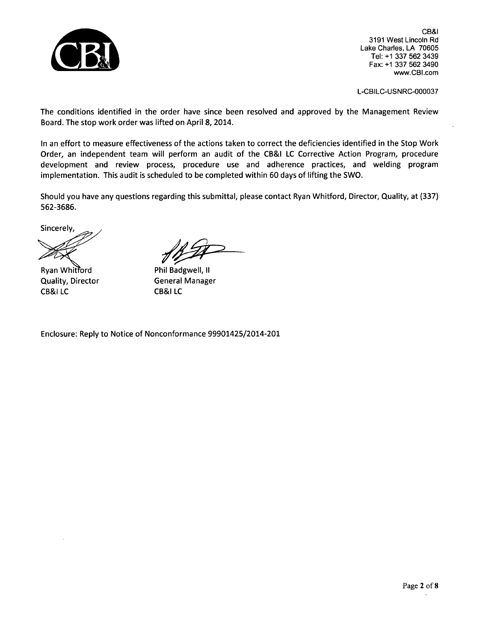

CB&I 3191 West Lincoln Rd Lake Charles, LA 70605 Tel: +1 337 562 3439 Fax: +1 337 562 3490 www.CBI.com

L-CBILC-USNRC-000037

The conditions identified in the order have since been resolved and approved by the Management Review Board. The stop work order was lifted on April 8, 2014.

In an effort to measure effectiveness of the actions taken to correct the deficiencies identified in the Stop Work Order, an independent team will perform an audit of the CB&I LC Corrective Action Program, procedure development and review process, procedure use and adherence practices, and welding program implementation. This audit is scheduled to be completed within 60 days of lifting the SWO.

Should you have any questions regarding this submittal, please contact Ryan Whitford, Director, Quality, at (337) 562-3686.

Sincerely,

Ryan Whitford Quality, Director CB&I LC

Phil Badgwell, II General Manager CB&I LC

Enclosure: Reply to Notice of Nonconformance 99901425/2014-201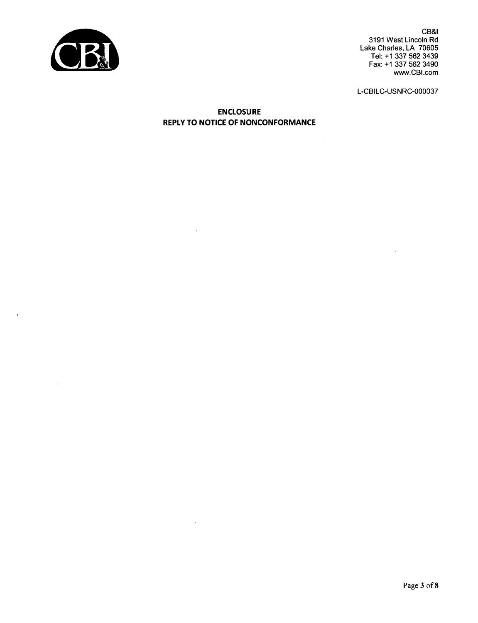

 $\bar{\phantom{a}}$ 

 $\sim$ 

CB&I 3191 West Lincoln Rd Lake Charles, LA 70605 Tel: +1 337 562 3439 Fax: +1 337 562 3490 www.CBI.com

L-CBILC-USNRC-000037

**ENCLOSURE** REPLY TO **NOTICE** OF **NONCONFORMANCE**

 $\bar{a}$ 

 $\sim$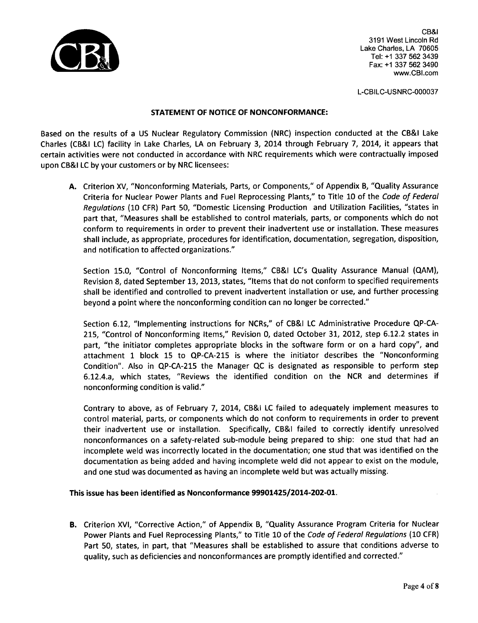

CB&I 3191 West Lincoln Rd Lake Charles, LA 70605 Tel: +1 337 562 3439 Fax: **+1** 337 562 3490 www.CBI.com

L-CBILC-USNRC-000037

## STATEMENT OF NOTICE OF NONCONFORMANCE:

Based on the results of a US Nuclear Regulatory Commission (NRC) inspection conducted at the CB&I Lake Charles (CB&I LC) facility in Lake Charles, LA on February 3, 2014 through February 7, 2014, it appears that certain activities were not conducted in accordance with NRC requirements which were contractually imposed upon CB&I LC by your customers or by NRC licensees:

A. Criterion XV, "Nonconforming Materials, Parts, or Components," of Appendix B, "Quality Assurance Criteria for Nuclear Power Plants and Fuel Reprocessing Plants," to Title 10 of the *Code of Federal Regulations* (10 CFR) Part 50, "Domestic Licensing Production and Utilization Facilities, "states in part that, "Measures shall be established to control materials, parts, or components which do not conform to requirements in order to prevent their inadvertent use or installation. These measures shall include, as appropriate, procedures for identification, documentation, segregation, disposition, and notification to affected organizations."

Section 15.0, "Control of Nonconforming Items," CB&I LC's Quality Assurance Manual (QAM), Revision 8, dated September 13, 2013, states, "Items that do not conform to specified requirements shall be identified and controlled to prevent inadvertent installation or use, and further processing beyond a point where the nonconforming condition can no longer be corrected."

Section 6.12, "Implementing instructions for NCRs," of CB&I LC Administrative Procedure QP-CA-215, "Control of Nonconforming Items," Revision 0, dated October 31, 2012, step 6.12.2 states in part, "the initiator completes appropriate blocks in the software form or on a hard copy", and attachment 1 block 15 to QP-CA-215 is where the initiator describes the "Nonconforming Condition". Also in QP-CA-215 the Manager QC is designated as responsible to perform step 6.12.4.a, which states, "Reviews the identified condition on the NCR and determines if nonconforming condition is valid."

Contrary to above, as of February 7, 2014, CB&I LC failed to adequately implement measures to control material, parts, or components which do not conform to requirements in order to prevent their inadvertent use or installation. Specifically, CB&I failed to correctly identify unresolved nonconformances on a safety-related sub-module being prepared to ship: one stud that had an incomplete weld was incorrectly located in the documentation; one stud that was identified on the documentation as being added and having incomplete weld did not appear to exist on the module, and one stud was documented as having an incomplete weld but was actually missing.

# This issue has been identified as Nonconformance 99901425/2014-202-01.

B. Criterion XVI, "Corrective Action," of Appendix B, "Quality Assurance Program Criteria for Nuclear Power Plants and Fuel Reprocessing Plants," to Title 10 of the *Code of Federal Regulations* (10 CFR) Part 50, states, in part, that "Measures shall be established to assure that conditions adverse to quality, such as deficiencies and nonconformances are promptly identified and corrected."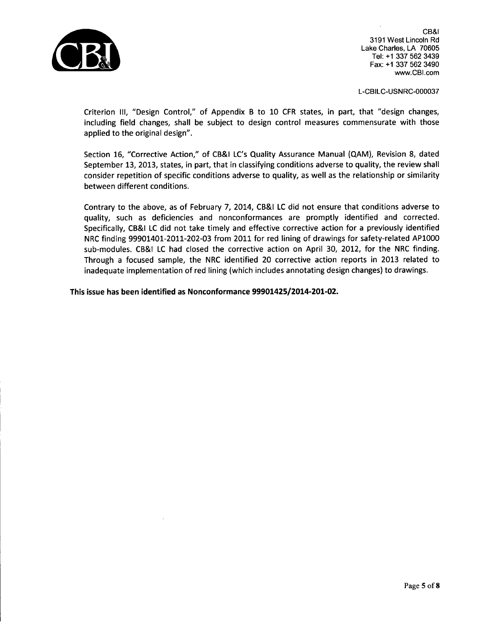

CB&I 3191 West Lincoln Rd Lake Charles, LA 70605 Tel: +1 337 562 3439 Fax: +1 337 562 3490 www.CBI.com

L-CBILC-USNRC-000037

Criterion **III,** "Design Control," of Appendix B to 10 CFR states, in part, that "design changes, including field changes, shall be subject to design control measures commensurate with those applied to the original design".

Section 16, "Corrective Action," of CB&I LC's Quality Assurance Manual (QAM), Revision **8,** dated September 13, 2013, states, in part, that in classifying conditions adverse to quality, the review shall consider repetition of specific conditions adverse to quality, as well as the relationship or similarity between different conditions.

Contrary to the above, as of February 7, 2014, CB&I LC did not ensure that conditions adverse to quality, such as deficiencies and nonconformances are promptly identified and corrected. Specifically, CB&I LC did not take timely and effective corrective action for a previously identified NRC finding 99901401-2011-202-03 from 2011 for red lining of drawings for safety-related AP1000 sub-modules. CB&I LC had closed the corrective action on April 30, 2012, for the NRC finding. Through a focused sample, the NRC identified 20 corrective action reports in 2013 related to inadequate implementation of red lining (which includes annotating design changes) to drawings.

This issue has been identified as Nonconformance 99901425/2014-201-02.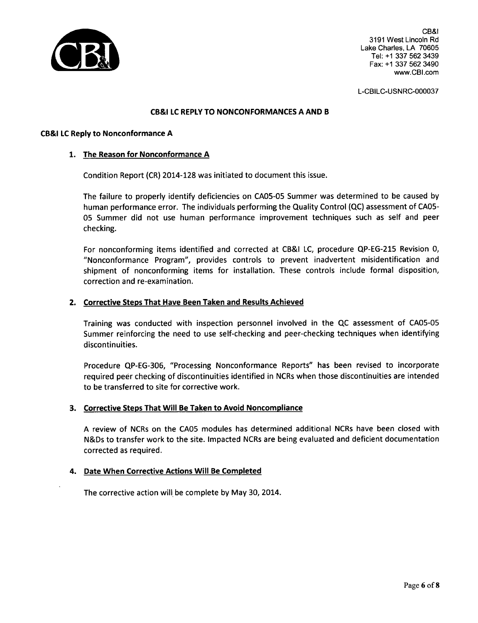

CB&I 3191 West Lincoln Rd Lake Charles, LA 70605 Tel: +1 337 562 3439 Fax: **+1** 337 562 3490 www.CBI .com

L-CBILC-USNRC-000037

### CB&I **LC** REPLY TO NONCONFORMANCES A AND B

### CB&I **LC** Reply to Nonconformance A

### 1. The Reason for Nonconformance A

Condition Report (CR) 2014-128 was initiated to document this issue.

The failure to properly identify deficiencies on CA05-05 Summer was determined to be caused by human performance error. The individuals performing the Quality Control (QC) assessment of CA05- 05 Summer did not use human performance improvement techniques such as self and peer checking.

For nonconforming items identified and corrected at CB&I LC, procedure QP-EG-215 Revision 0, "Nonconformance Program", provides controls to prevent inadvertent misidentification and shipment of nonconforming items for installation. These controls include formal disposition, correction and re-examination.

### 2. Corrective Steps That Have Been Taken and Results Achieved

Training was conducted with inspection personnel involved in the QC assessment of CA05-05 Summer reinforcing the need to use self-checking and peer-checking techniques when identifying discontinuities.

Procedure QP-EG-306, "Processing Nonconformance Reports" has been revised to incorporate required peer checking of discontinuities identified in NCRs when those discontinuities are intended to be transferred to site for corrective work.

## 3. Corrective Steps That Will Be Taken to Avoid Noncompliance

A review of NCRs on the CAO5 modules has determined additional NCRs have been closed with N&Ds to transfer work to the site. Impacted NCRs are being evaluated and deficient documentation corrected as required.

### 4. Date When Corrective Actions Will Be Completed

The corrective action will be complete by May 30, 2014.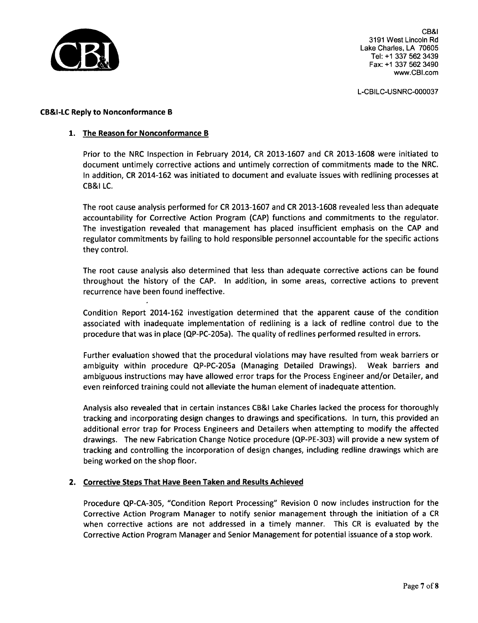

CB&I 3191 West Lincoln Rd Lake Charles, LA 70605 Tel: +1 337 562 3439 Fax: +1 337 562 3490 www.CBI.com

L-CBILC-USNRC-000037

### CB&I-LC Reply to Nonconformance B

## 1. The Reason for Nonconformance B

Prior to the NRC Inspection in February 2014, CR 2013-1607 and CR 2013-1608 were initiated to document untimely corrective actions and untimely correction of commitments made to the NRC. In addition, CR 2014-162 was initiated to document and evaluate issues with redlining processes at CB&I LC.

The root cause analysis performed for CR 2013-1607 and CR 2013-1608 revealed less than adequate accountability for Corrective Action Program (CAP) functions and commitments to the regulator. The investigation revealed that management has placed insufficient emphasis on the CAP and regulator commitments by failing to hold responsible personnel accountable for the specific actions they control.

The root cause analysis also determined that less than adequate corrective actions can be found throughout the history of the CAP. In addition, in some areas, corrective actions to prevent recurrence have been found ineffective.

Condition Report 2014-162 investigation determined that the apparent cause of the condition associated with inadequate implementation of redlining is a lack of redline control due to the procedure that was in place (QP-PC-205a). The quality of redlines performed resulted in errors.

Further evaluation showed that the procedural violations may have resulted from weak barriers or ambiguity within procedure QP-PC-205a (Managing Detailed Drawings). Weak barriers and ambiguous instructions may have allowed error traps for the Process Engineer and/or Detailer, and even reinforced training could not alleviate the human element of inadequate attention.

Analysis also revealed that in certain instances CB&I Lake Charles lacked the process for thoroughly tracking and incorporating design changes to drawings and specifications. In turn, this provided an additional error trap for Process Engineers and Detailers when attempting to modify the affected drawings. The new Fabrication Change Notice procedure (QP-PE-303) will provide a new system of tracking and controlling the incorporation of design changes, including redline drawings which are being worked on the shop floor.

### 2. Corrective Steps That Have Been Taken and Results Achieved

Procedure QP-CA-305, "Condition Report Processing" Revision 0 now includes instruction for the Corrective Action Program Manager to notify senior management through the initiation of a CR when corrective actions are not addressed in a timely manner. This CR is evaluated by the Corrective Action Program Manager and Senior Management for potential issuance of a stop work.